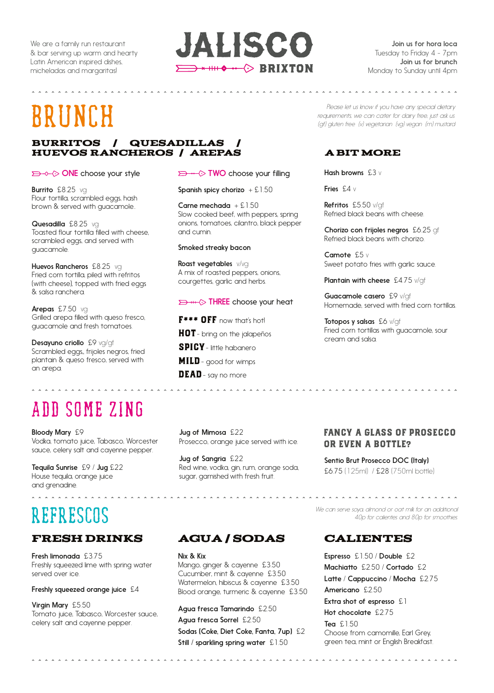We are a family run restaurant & bar serving up warm and hearty Latin American inspired dishes, micheladas and margaritas!

### JALISCO  $\implies$  \*  $\text{HH} \leftarrow \Diamond$  BRIXTON

Join us for hora loca Tuesday to Friday 4 - 7pm Join us for brunch Monday to Sunday until 4pm

. . . . . . . . . . . . . . . . .

# Brunch

#### BURRITOS / QUESADILLAS huevos rancheros / arepas

#### **ONE** choose your style

Burrito £8.25 vg Flour tortilla, scrambled eggs, hash brown & served with guacamole..

Quesadilla £8.25 vg Toasted flour tortilla filled with cheese, scrambled eggs, and served with guacamole.

Huevos Rancheros £8.25 vg Fried corn tortilla, piled with refritos (with cheese), topped with fried eggs & salsa ranchera.

Arepas £7.50 vg Grilled arepa filled with queso fresco, guacamole and fresh tomatoes.

Desayuno criollo £9 vg/gf Scrambled eggs,, frijoles negros, fried plantain & queso fresco, served with an arepa.

### ADD SOME ZING

Bloody Mary £9 Vodka, tomato juice, Tabasco, Worcester sauce, celery salt and cayenne pepper.

Tequila Sunrise £9 / Jug £22 House tequila, orange juice and grenadine.

## REFRESCOS

### Fresh DRINKS AGUA / SODAS

Fresh limonada £3.75 Freshly squeezed lime with spring water served over ice.

Freshly squeezed orange juice £4

Virgin Mary £5.50 Tomato juice, Tabasco, Worcester sauce, celery salt and cayenne pepper.

#### $\implies \rightarrow \infty$  TWO choose your filling

Spanish spicy chorizo  $+ 51.50$ 

Carne mechada  $+ £1.50$ Slow cooked beef, with peppers, spring onions, tomatoes, cilantro, black pepper and cumin.

#### Smoked streaky bacon

Roast vegetables v/vg A mix of roasted peppers, onions, courgettes, garlic and herbs.

#### **D** +++  $\Diamond$  THREE choose your heat

F<sup>\*\*\*</sup> OFF now that's hot! **HOT**- bring on the jalapeños SPICY- little habanero MILD- good for wimps DEAD - say no more

Jug of Mimosa £22 Prosecco, orange juice served with ice.

Jug of Sangria £22 Red wine, vodka, gin, rum, orange soda, sugar, garnished with fresh fruit.

*Please let us know if you have any special dietary requirements, we can cater for dairy free, just ask us. (gf) gluten free (v) vegetarian (vg) vegan (m) mustard* 

#### a bit more

Hash browns £3 v

Fries £4 v

Refritos £5.50 v/qf Refried black beans with cheese.

Chorizo con frijoles negros £6.25 gf Refried black beans with chorizo.

Camote £5 v Sweet potato fries with garlic sauce.

Plantain with cheese £4.75 v/qf

Guacamole casero £9 v/of Homemade, served with fried corn tortillas.

Totopos y salsas £6 v/qf Fried corn tortillas with guacamole, sour cream and salsa.

#### FANCY A GLASS OF PROSECCO OR EVEN A BOTTLE?

Sentio Brut Prosecco DOC (Italy) £6.75 (125ml) / £28 (750ml bottle)

*We can serve soya, almond or oat milk for an additional 40p for calientes and 80p for smoothies.* 

Nix & Kix Mango, ginger & cayenne £3.50 Cucumber, mint & cayenne £3.50 Watermelon, hibiscus & cayenne £3.50 Blood orange, turmeric & cayenne £3.50

Agua fresca Tamarindo £2.50 Agua fresca Sorrel £2.50 Sodas (Coke, Diet Coke, Fanta, 7up) £2 Still / sparkling spring water £1.50

### **CALIENTES**

Espresso £1.50 / Double £2 Machiatto £2.50 / Cortado £2 Latte / Cappuccino / Mocha £2.75 Americano £2.50 Extra shot of espresso £1 Hot chocolate £2.75 Tea £1.50 Choose from camomille, Earl Grey, green tea, mint or English Breakfast.